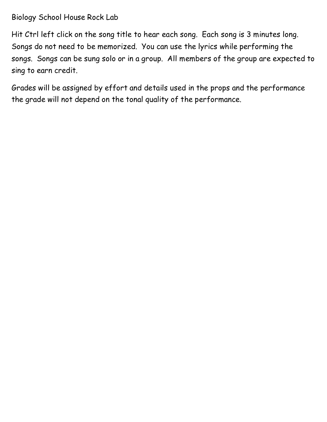Biology School House Rock Lab

Hit Ctrl left click on the song title to hear each song. Each song is 3 minutes long. Songs do not need to be memorized. You can use the lyrics while performing the songs. Songs can be sung solo or in a group. All members of the group are expected to sing to earn credit.

Grades will be assigned by effort and details used in the props and the performance the grade will not depend on the tonal quality of the performance.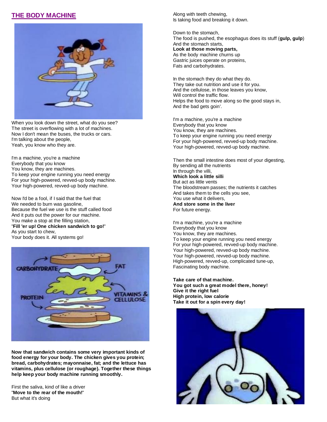### **[THE BODY MACHINE](https://www.youtube.com/watch?v=wLMRCgaAYIM)**



When you look down the street, what do you see? The street is overflowing with a lot of machines. Now I don't mean the buses, the trucks or cars. I'm talking about the people. Yeah, you know who they are.

I'm a machine, you're a machine Everybody that you know You know, they are machines. To keep your engine running you need energy For your high-powered, revved-up body machine. Your high-powered, revved-up body machine.

Now I'd be a fool, if I said that the fuel that We needed to burn was gasoline, Because the fuel we use is the stuff called food And it puts out the power for our machine. You make a stop at the filling station, "**Fill 'er up! One chicken sandwich to go!**" As you start to chew, Your body does it. All systems go!



**Now that sandwich contains some very important kinds of food energy for your body. The chicken gives you protein; bread, carbohydrates; mayonnaise, fat; and the lettuce has vitamins, plus cellulose (or roughage). Together these things help keep your body machine running smoothly.**

First the saliva, kind of like a driver "**Move to the rear of the mouth!**" But what it's doing

Along with teeth chewing, Is taking food and breaking it down.

Down to the stomach, The food is pushed, the esophagus does its stuff (**gulp, gulp**) And the stomach starts, **Look at those moving parts,**

As the body machine churns up Gastric juices operate on proteins, Fats and carbohydrates.

In the stomach they do what they do. They take out nutrition and use it for you. And the cellulose, in those leaves you know, Will control the traffic flow. Helps the food to move along so the good stays in, And the bad gets goin'.

I'm a machine, you're a machine Everybody that you know You know, they are machines. To keep your engine running you need energy For your high-powered, revved-up body machine. Your high-powered, revved-up body machine.

Then the small intestine does most of your digesting, By sending all the nutrients In through the villi, **Which look a little silli** But act as little vents The bloodstream passes; the nutrients it catches And takes them to the cells you see, You use what it delivers, **And store some in the liver** For future energy.

I'm a machine, you're a machine Everybody that you know You know, they are machines. To keep your engine running you need energy For your high-powered, revved-up body machine. Your high-powered, revved-up body machine. Your high-powered, revved-up body machine. High-powered, revved-up, complicated tune-up, Fascinating body machine.

**Take care of that machine. You got such a great model there, honey! Give it the right fuel High protein, low calorie Take it out for a spin every day!**

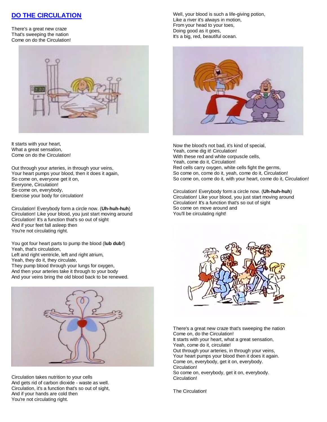# **[DO THE CIRCULATION](https://www.youtube.com/watch?v=5tTkxYeNF9Q&list=RD5tTkxYeNF9Q&start_radio=1)**

There's a great new craze That's sweeping the nation Come on do the Circulation!



It starts with your heart, What a great sensation, Come on do the Circulation!

Out through your arteries, in through your veins, Your heart pumps your blood, then it does it again, So come on, everyone get it on, Everyone, Circulation! So come on, everybody, Exercise your body for circulation!

Circulation! Everybody form a circle now. (**Uh-huh-huh**) Circulation! Like your blood, you just start moving around Circulation! It's a function that's so out of sight And if your feet fall asleep then You're not circulating right.

You got four heart parts to pump the blood (**lub dub!**) Yeah, that's circulation, Left and right ventricle, left and right atrium, Yeah, they do it, they circulate, They pump blood through your lungs for oxygen, And then your arteries take it through to your body And your veins bring the old blood back to be renewed.



Circulation takes nutrition to your cells And gets rid of carbon dioxide - waste as well. Circulation, it's a function that's so out of sight, And if your hands are cold then You're not circulating right.

Well, your blood is such a life-giving potion, Like a river it's always in motion, From your head to your toes, Doing good as it goes, It's a big, red, beautiful ocean.



Now the blood's not bad, it's kind of special, Yeah, come dig it! Circulation! With these red and white corpuscle cells, Yeah, come do it, Circulation! Red cells carry oxygen, white cells fight the germs, So come on, come do it, yeah, come do it, Circulation! So come on, come do it, with your heart, come do it, Circulation!

Circulation! Everybody form a circle now. (**Uh-huh-huh**) Circulation! Like your blood, you just start moving around Circulation! It's a function that's so out of sight So come on move around and You'll be circulating right!



There's a great new craze that's sweeping the nation Come on, do the Circulation!

It starts with your heart, what a great sensation, Yeah, come do it, circulate!

Out through your arteries, in through your veins, Your heart pumps your blood then it does it again. Come on, everybody, get it on, everybody. Circulation!

So come on, everybody, get it on, everybody. Circulation!

The Circulation!